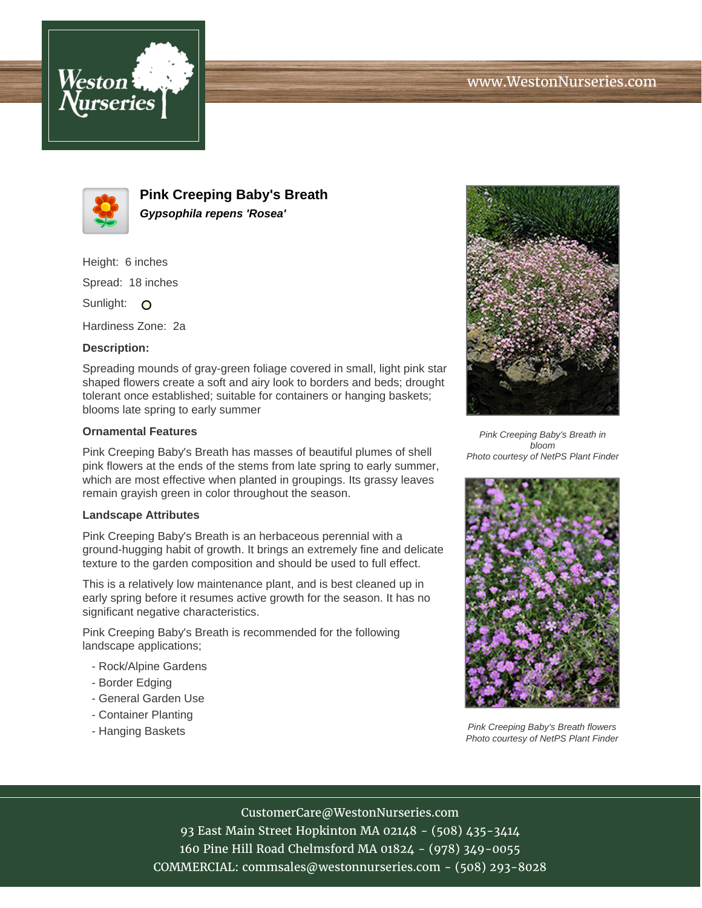



**Pink Creeping Baby's Breath Gypsophila repens 'Rosea'**

Height: 6 inches

Spread: 18 inches

Sunlight: O

Hardiness Zone: 2a

## **Description:**

Spreading mounds of gray-green foliage covered in small, light pink star shaped flowers create a soft and airy look to borders and beds; drought tolerant once established; suitable for containers or hanging baskets; blooms late spring to early summer

## **Ornamental Features**

Pink Creeping Baby's Breath has masses of beautiful plumes of shell pink flowers at the ends of the stems from late spring to early summer, which are most effective when planted in groupings. Its grassy leaves remain grayish green in color throughout the season.

## **Landscape Attributes**

Pink Creeping Baby's Breath is an herbaceous perennial with a ground-hugging habit of growth. It brings an extremely fine and delicate texture to the garden composition and should be used to full effect.

This is a relatively low maintenance plant, and is best cleaned up in early spring before it resumes active growth for the season. It has no significant negative characteristics.

Pink Creeping Baby's Breath is recommended for the following landscape applications;

- Rock/Alpine Gardens
- Border Edging
- General Garden Use
- Container Planting
- Hanging Baskets



Pink Creeping Baby's Breath in bloom Photo courtesy of NetPS Plant Finder



Pink Creeping Baby's Breath flowers Photo courtesy of NetPS Plant Finder

CustomerCare@WestonNurseries.com

93 East Main Street Hopkinton MA 02148 - (508) 435-3414 160 Pine Hill Road Chelmsford MA 01824 - (978) 349-0055 COMMERCIAL: commsales@westonnurseries.com - (508) 293-8028